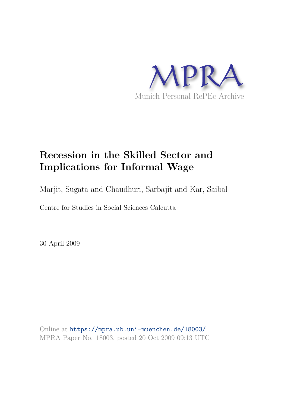

# **Recession in the Skilled Sector and Implications for Informal Wage**

Marjit, Sugata and Chaudhuri, Sarbajit and Kar, Saibal

Centre for Studies in Social Sciences Calcutta

30 April 2009

Online at https://mpra.ub.uni-muenchen.de/18003/ MPRA Paper No. 18003, posted 20 Oct 2009 09:13 UTC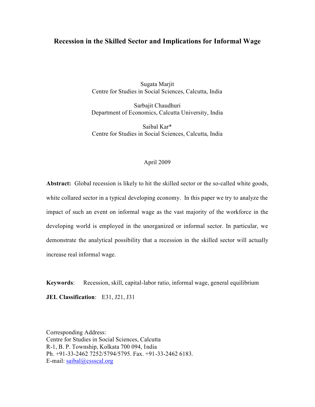## **Recession in the Skilled Sector and Implications for Informal Wage**

Sugata Marjit Centre for Studies in Social Sciences, Calcutta, India

Sarbajit Chaudhuri Department of Economics, Calcutta University, India

Saibal Kar\* Centre for Studies in Social Sciences, Calcutta, India

## April 2009

Abstract: Global recession is likely to hit the skilled sector or the so-called white goods, white collared sector in a typical developing economy. In this paper we try to analyze the impact of such an event on informal wage as the vast majority of the workforce in the developing world is employed in the unorganized or informal sector. In particular, we demonstrate the analytical possibility that a recession in the skilled sector will actually increase real informal wage.

**Keywords**: Recession, skill, capital-labor ratio, informal wage, general equilibrium **JEL Classification**: E31, J21, J31

Corresponding Address: Centre for Studies in Social Sciences, Calcutta R-1, B. P. Township, Kolkata 700 094, India Ph. +91-33-2462 7252/5794/5795. Fax. +91-33-2462 6183. E-mail: saibal@cssscal.org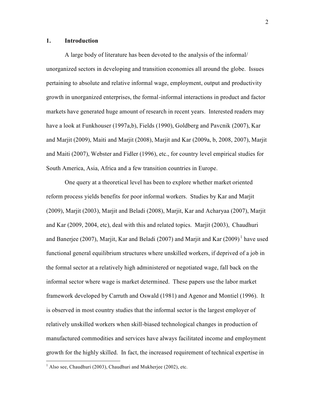## **1. Introduction**

A large body of literature has been devoted to the analysis of the informal/ unorganized sectors in developing and transition economies all around the globe. Issues pertaining to absolute and relative informal wage, employment, output and productivity growth in unorganized enterprises, the formal-informal interactions in product and factor markets have generated huge amount of research in recent years. Interested readers may have a look at Funkhouser (1997a,b), Fields (1990), Goldberg and Pavcnik (2007), Kar and Marjit (2009), Maiti and Marjit (2008), Marjit and Kar (2009a, b, 2008, 2007), Marjit and Maiti (2007), Webster and Fidler (1996), etc., for country level empirical studies for South America, Asia, Africa and a few transition countries in Europe.

One query at a theoretical level has been to explore whether market oriented reform process yields benefits for poor informal workers. Studies by Kar and Marjit (2009), Marjit (2003), Marjit and Beladi (2008), Marjit, Kar and Acharyaa (2007), Marjit and Kar (2009, 2004, etc), deal with this and related topics. Marjit (2003), Chaudhuri and Banerjee (2007), Marjit, Kar and Beladi (2007) and Marjit and Kar (2009)<sup>1</sup> have used functional general equilibrium structures where unskilled workers, if deprived of a job in the formal sector at a relatively high administered or negotiated wage, fall back on the informal sector where wage is market determined. These papers use the labor market framework developed by Carruth and Oswald (1981) and Agenor and Montiel (1996). It is observed in most country studies that the informal sector is the largest employer of relatively unskilled workers when skill-biased technological changes in production of manufactured commodities and services have always facilitated income and employment growth for the highly skilled. In fact, the increased requirement of technical expertise in

-

 $<sup>1</sup>$  Also see, Chaudhuri (2003), Chaudhuri and Mukherjee (2002), etc.</sup>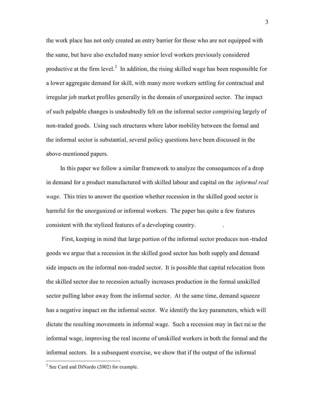the work place has not only created an entry barrier for those who are not equipped with the same, but have also excluded many senior level workers previously considered productive at the firm level.<sup>2</sup> In addition, the rising skilled wage has been responsible for a lower aggregate demand for skill, with many more workers settling for contractual and irregular job market profiles generally in the domain of unorganized sector. The impact of such palpable changes is undoubtedly felt on the informal sector comprisi ng largely of non-traded goods. Using such structures where labor mobility between the formal and the informal sector is substantial, several policy questions have been discussed in the above-mentioned papers.

 In this paper we follow a similar framework to analyze the consequences of a drop in demand for a product manufactured with skilled labour and capital on the *informal real wage*. This tries to answer the question whether recession in the skilled good sector is harmful for the unorganized or informal workers. The paper has quite a few features consistent with the stylized features of a developing country. .

 First, keeping in mind that large portion of the informal sector produces non -traded goods we argue that a recession in the skilled good sector has both supply and demand side impacts on the informal non-traded sector. It is possible that capital relocation from the skilled sector due to recession actually increases production in the formal unskilled sector pulling labor away from the informal sector. At the same time, demand squeeze has a negative impact on the informal sector. We identify the key parameters, which will dictate the resulting movements in informal wage. Such a recession may in fact rai se the informal wage, improving the real income of unskilled workers in both the formal and the informal sectors. In a subsequent exercise, we show that if the output of the informal

-

 $2$  See Card and DiNardo (2002) for example.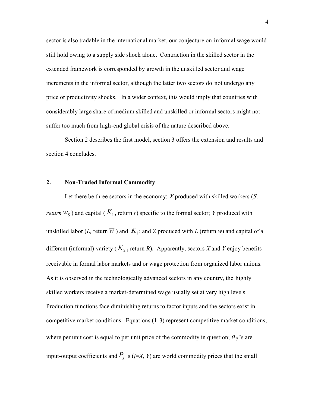sector is also tradable in the international market, our conjecture on i nformal wage would still hold owing to a supply side shock alone. Contraction in the skilled sector in the extended framework is corresponded by growth in the unskilled sector and wage increments in the informal sector, although the latter two sectors do not undergo any price or productivity shocks. In a wider context, this would imply that countries with considerably large share of medium skilled and unskilled or informal sectors might not suffer too much from high-end global crisis of the nature described above.

Section 2 describes the first model, section 3 offers the extension and results and section 4 concludes.

#### **2. Non-Traded Informal Commodity**

 Let there be three sectors in the economy: *X* produced with skilled workers (*S, return*  $W_S$ ) and capital ( $K_1$ , return *r*) specific to the formal sector; *Y* produced with unskilled labor (*L*, return  $\overline{w}$  ) and  $K_1$ ; and *Z* produced with *L* (return *w*) and capital of a different (informal) variety ( $K_2$ , return *R*). Apparently, sectors *X* and *Y* enjoy benefits receivable in formal labor markets and or wage protection from organized labor unions. As it is observed in the technologically advanced sectors in any country, the highly skilled workers receive a market-determined wage usually set at very high levels. Production functions face diminishing returns to factor inputs and the sectors exist in competitive market conditions. Equations (1-3) represent competitive market conditions, where per unit cost is equal to per unit price of the commodity in question;  $a_{ij}$ 's are input-output coefficients and  $P_j$  's (*j*=*X*, *Y*) are world commodity prices that the small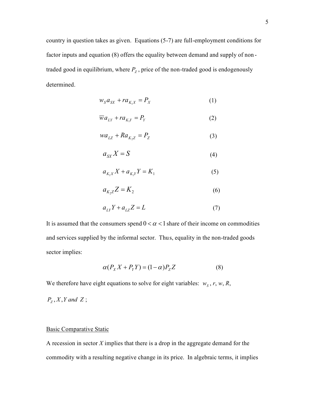country in question takes as given. Equations (5-7) are full-employment conditions for factor inputs and equation (8) offers the equality between demand and supply of non traded good in equilibrium, where  $P_z$ , price of the non-traded good is endogenously determined.

$$
w_S a_{SX} + r a_{K_1 X} = P_X \tag{1}
$$

$$
\overline{w}a_{LY} + ra_{K_1Y} = P_Y \tag{2}
$$

$$
wa_{LZ} + Ra_{K_2Z} = P_Z \tag{3}
$$

$$
a_{SX}X = S \tag{4}
$$

$$
a_{K_1X}X + a_{K_1Y}Y = K_1
$$
 (5)

$$
a_{K_2Z}Z = K_2 \tag{6}
$$

$$
a_{LY}Y + a_{LZ}Z = L \tag{7}
$$

It is assumed that the consumers spend  $0 < \alpha < 1$  share of their income on commodities and services supplied by the informal sector. Thus, equality in the non-traded goods sector implies:

$$
\alpha(P_X X + P_Y Y) = (1 - \alpha)P_Z Z \tag{8}
$$

We therefore have eight equations to solve for eight variables:  $w_s$ ,  $r$ ,  $w$ ,  $R$ ,

 $P_z$ ,  $X$ ,  $Y$  *and*  $Z$ ;

## Basic Comparative Static

A recession in sector *X* implies that there is a drop in the aggregate demand for the commodity with a resulting negative change in its price. In algebraic terms, it implies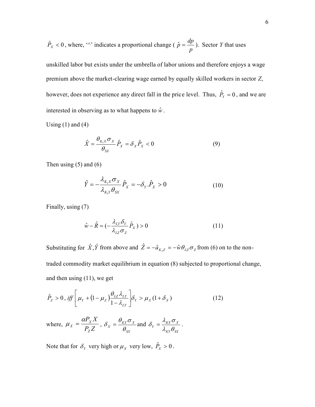$$
\hat{P}_X
$$
 < 0, where, " $\rangle$  indicates a proportional change ( $\hat{p} = \frac{dp}{p}$ ). Sector Y that uses

unskilled labor but exists under the umbrella of labor unions and therefore enjoys a wage premium above the market-clearing wage earned by equally skilled workers in sector *Z*, however, does not experience any direct fall in the price level. Thus,  $\hat{P}_{\gamma} = 0$ , and we are interested in observing as to what happens to  $\hat{w}$ .

Using  $(1)$  and  $(4)$ 

$$
\hat{X} = \frac{\theta_{K_1 X} \sigma_X}{\theta_{SX}} \hat{P}_X = \delta_X \hat{P}_X < 0
$$
\n(9)

Then using  $(5)$  and  $(6)$ 

$$
\hat{Y} = -\frac{\lambda_{K_1 X} \sigma_X}{\lambda_{K_1 Y} \theta_{SX}} \hat{P}_X = -\delta_Y . \hat{P}_X > 0
$$
\n(10)

Finally, using (7)

$$
\hat{w} - \hat{R} = \left(-\frac{\lambda_{LY}\delta_Y}{\lambda_{LZ}\sigma_Z}\hat{P}_X\right) > 0\tag{11}
$$

Substituting for  $\hat{X}$ ,  $\hat{Y}$  from above and  $\hat{Z} = -\hat{a}_{K_2 Z} = -\hat{w}\theta_{LZ}\sigma_Z$  from (6) on to the nontraded commodity market equilibrium in equation (8) subjected to proportional change, and then using (11), we get

$$
\hat{P}_z > 0, \text{ iff } \left[ \mu_Y + \left( 1 - \mu_Z \right) \frac{\theta_{LZ} \lambda_{LY}}{1 - \lambda_{LY}} \right] \delta_Y > \mu_X (1 + \delta_X) \tag{12}
$$

where,  $P_{Z}Z$  $P_{\overline{X}}X$ *Z X X*  $\mu_X = \frac{\alpha P_X X}{R Z},$ *SX*  $X = \frac{\partial_{XX} \partial_X}{\partial_{xy}}$  $\delta_X = \frac{\theta_{\scriptscriptstyle{K}} \sigma_X}{2}$  and *KY SX*  $Y = \frac{\lambda_{KX} \sigma_X}{\lambda_{VY} \theta_{SV}}$  $\delta_{y} = \frac{\lambda_{K X} \sigma_{X}}{2}$ .

Note that for  $\delta_Y$  very high or  $\mu_X$  very low,  $\hat{P}_X > 0$ .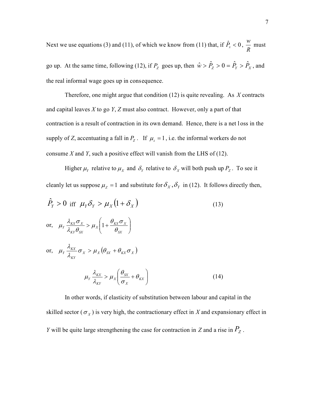Next we use equations (3) and (11), of which we know from (11) that, if  $\hat{P}_x < 0$ ,  $\frac{w}{R}$  $\frac{w}{\overline{p}}$  must

go up. At the same time, following (12), if  $P_z$  goes up, then  $\hat{w} > \hat{P}_z > 0 = \hat{P}_y > \hat{P}_x$ , and the real informal wage goes up in consequence.

Therefore, one might argue that condition (12) is quite revealing. As *X* contracts and capital leaves *X* to go *Y*, *Z* must also contract. However, only a part of that contraction is a result of contraction in its own demand. Hence, there is a net l oss in the supply of *Z*, accentuating a fall in  $P_z$ . If  $\mu_z = 1$ , i.e. the informal workers do not consume *X* and *Y*, such a positive effect will vanish from the LHS of (12).

Higher  $\mu_Y$  relative to  $\mu_X$  and  $\delta_Y$  relative to  $\delta_X$  will both push up  $P_Z$ . To see it cleanly let us suppose  $\mu_z = 1$  and substitute for  $\delta_x$ ,  $\delta_y$  in (12). It follows directly then,

 $\hat{P}_Y > 0$  iff  $\mu_Y \delta_Y > \mu_X (1 + \delta_X)$  (13) or,  $\mu_Y \frac{\lambda_{KX} \sigma_X}{\lambda_{\mathcal{A}}} > \mu_X \left[1 + \frac{\sigma_{KX} \sigma_X}{\rho}\right]$ J  $\setminus$  $\overline{\phantom{a}}$  $\setminus$ ſ  $> \mu_{Y}$ | 1+ *SX*  $X\left(1+\frac{\partial KX}{\partial X}\right)$ *KY SX*  $\mu_X \frac{\lambda_{KX} \sigma_X}{\lambda_{VX} \theta_{SV}} > \mu_X \left(1 + \frac{\sigma_{KX}}{\theta}\right)$  $\theta_{\nu\nu}\sigma$  $\frac{1}{\lambda_{vv}\theta_{cv}} > \mu$  $\mu_{Y} \frac{\lambda_{KX} \sigma_{X}}{2} > \mu_{X} \left(1\right)$ or,  $\mu_Y \frac{\lambda_{KX}}{2} \sigma_X > \mu_X(\theta_{SX} + \theta_{KX} \sigma_X)$ *KY*  $\frac{\partial \mathcal{L}_{K X}}{\partial \mathcal{L}_{K X}} \sigma_X > \mu_X(\theta_{S X} + \theta_{K X} \sigma_X)$  $\mu_{_Y} \frac{\lambda_{_{K\!X}}}{\cdot} \sigma_{_X} > \mu_{_X} (\theta_{_{SX}} +$  $\overline{\phantom{a}}$ J  $\backslash$  $\overline{\phantom{a}}$  $\setminus$ ſ  $>\mu_X\left(\frac{\sigma_{SX}}{2}+\theta_{KX}\right)$ *X*  $\frac{V_{SX}}{V_{X}}$ *KY*  $\mu_X \frac{\lambda_{K}^{V_X}}{\lambda_{V_X}} > \mu_X \frac{\sigma_{SX}}{\sigma_{Y}} + \theta_X$  $\theta$  $\frac{1}{\lambda_{\text{rev}}}$  >  $\mu$  $\mu_Y \frac{\lambda_{\overline{K}X}}{A} > \mu_X \left( \frac{\theta_{\overline{S}X}}{A} + \theta_{\overline{K}X} \right)$ (14)

 In other words, if elasticity of substitution between labour and capital in the skilled sector ( $\sigma_X$ ) is very high, the contractionary effect in *X* and expansionary effect in *<sup>Y</sup>* will be quite large strengthening the case for contraction in *Z* and a rise in *P<sup>Z</sup>* .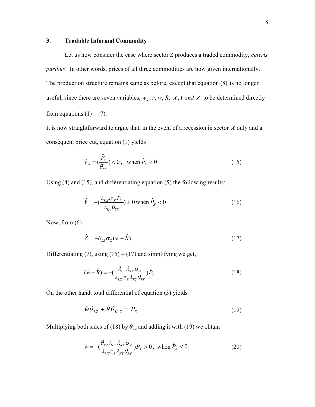## **3. Tradable Informal Commodity**

Let us now consider the case where sector *Z* produces a traded commodity, *ceteris paribus*. In other words, prices of all three commodities are now given internationally. The production structure remains same as before, except that equation (8) is no longer useful, since there are seven variables,  $w_s$ ,  $r$ ,  $w$ ,  $R$ ,  $X$ ,  $Y$  *and*  $Z$  to be determined directly from equations  $(1) - (7)$ .

It is now straightforward to argue that, in the event of a recession in sector *X* only and a consequent price cut, equation (1) yields

$$
\hat{w}_s = (\frac{\hat{P}_x}{\theta_{sX}}) < 0, \quad \text{when } \hat{P}_x < 0 \tag{15}
$$

Using (4) and (15), and differentiating equation (5) the following results:

$$
\hat{Y} = -\left(\frac{\lambda_{\scriptscriptstyle{K}X}\sigma_{\scriptscriptstyle{X}}\hat{P}_{\scriptscriptstyle{X}}}{\lambda_{\scriptscriptstyle{K}Y}\theta_{\scriptscriptstyle{S}X}}\right) > 0 \text{ when } \hat{P}_{\scriptscriptstyle{X}} < 0 \tag{16}
$$

Now, from (6)

$$
\hat{Z} = -\theta_{LZ}\sigma_Z(\hat{w} - \hat{R})\tag{17}
$$

Differentiating (7), using (15) – (17) and simplifying we get,

$$
(\hat{w} - \hat{R}) = -\left(\frac{\lambda_{LY}\lambda_{XX}\sigma_X}{\lambda_{LZ}\sigma_Z\lambda_{KY}\theta_{SX}}\right)\hat{P}_X
$$
\n(18)

On the other hand, total differential of equation (3) yields

$$
\hat{w}\theta_{LZ} + \hat{R}\theta_{K_2Z} = P_Z \tag{19}
$$

Multiplying both sides of (18) by  $\theta_{KZ}$  and adding it with (19) we obtain

$$
\hat{w} = -\left(\frac{\theta_{KZ}\lambda_{LY}\lambda_{KX}\sigma_X}{\lambda_{LZ}\sigma_Z\lambda_{KY}\theta_{SX}}\right)\hat{P}_X > 0, \text{ when } \hat{P}_X < 0.
$$
\n(20)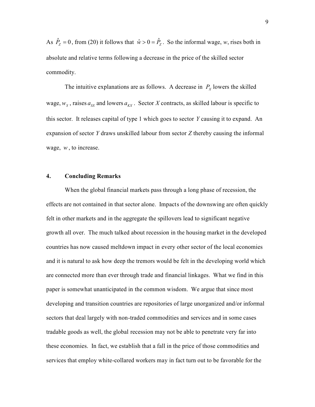As  $\hat{P}_z = 0$ , from (20) it follows that  $\hat{w} > 0 = \hat{P}_z$ . So the informal wage, *w*, rises both in absolute and relative terms following a decrease in the price of the skilled sector commodity.

The intuitive explanations are as follows. A decrease in  $P_X$  lowers the skilled wage,  $w_s$ , raises  $a_{sx}$  and lowers  $a_{kX}$ . Sector *X* contracts, as skilled labour is specific to this sector. It releases capital of type 1 which goes to sector *Y* causing it to expand. An expansion of sector *Y* draws unskilled labour from sector *Z* thereby causing the informal wage, *w*, to increase.

## **4. Concluding Remarks**

 When the global financial markets pass through a long phase of recession, the effects are not contained in that sector alone. Impacts of the downswing are often quickly felt in other markets and in the aggregate the spillovers lead to significant negative growth all over. The much talked about recession in the housing market in the developed countries has now caused meltdown impact in every other sector of the local economies and it is natural to ask how deep the tremors would be felt in the developing world which are connected more than ever through trade and financial linkages. What we find in this paper is somewhat unanticipated in the common wisdom. We argue that since most developing and transition countries are repositories of large unorganized and/or informal sectors that deal largely with non-traded commodities and services and in some cases tradable goods as well, the global recession may not be able to penetrate very far into these economies. In fact, we establish that a fall in the price of those commodities and services that employ white-collared workers may in fact turn out to be favorable for the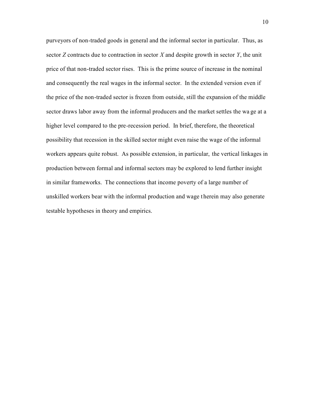purveyors of non-traded goods in general and the informal sector in particular. Thus, as sector *Z* contracts due to contraction in sector *X* and despite growth in sector *Y*, the unit price of that non-traded sector rises. This is the prime source of increase in the nominal and consequently the real wages in the informal sector. In the extended version even if the price of the non-traded sector is frozen from outside, still the expansion of the middle sector draws labor away from the informal producers and the market settles the wa ge at a higher level compared to the pre-recession period. In brief, therefore, the theoretical possibility that recession in the skilled sector might even raise the wage of the informal workers appears quite robust. As possible extension, in particular, the vertical linkages in production between formal and informal sectors may be explored to lend further insight in similar frameworks. The connections that income poverty of a large number of unskilled workers bear with the informal production and wage t herein may also generate testable hypotheses in theory and empirics.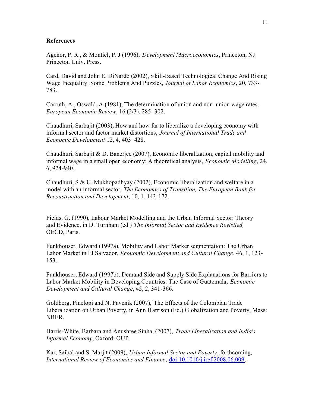## **References**

Agenor, P. R., & Montiel, P. J (1996), *Development Macroeconomics*, Princeton, NJ: Princeton Univ. Press.

Card, David and John E. DiNardo (2002), S kill-Based Technological Change And Rising Wage Inequality: Some Problems And Puzzles, *Journal of Labor Economics*, 20, 733- 783.

Carruth, A., Oswald, A (1981), The determination of union and non -union wage rates. *European Economic Review*, 16 (2/3), 285–302.

Chaudhuri, Sarbajit (2003), How and how far to liberalize a developing economy with informal sector and factor market distortions, *Journal of International Trade and Economic Development* 12, 4, 403–428.

Chaudhuri, Sarbajit & D. Banerjee (2007), Economic liberalization, capital mobility and informal wage in a small open economy: A theoretical analysis, *Economic Modelling*, 24, 6, 924-940.

Chaudhuri, S & U. Mukhopadhyay (2002), Economic liberalization and welfare in a model with an informal sector, *The Economics of Transition, The European Bank for Reconstruction and Development*, 10, 1, 143-172.

Fields, G. (1990), Labour Market Modelling and the Urban Informal Sector: Theory and Evidence. in D. Turnham (ed.) *The Informal Sector and Evidence Revisited,*  OECD, Paris.

Funkhouser, Edward (1997a), Mobility and Labor Marker segmentation: The Urban Labor Market in El Salvador, *Economic Development and Cultural Change*, 46, 1, 123- 153.

Funkhouser, Edward (1997b), Demand Side and Supply Side Explanations for Barri ers to Labor Market Mobility in Developing Countries: The Case of Guatemala, *Economic Development and Cultural Change*, 45, 2, 341-366.

Goldberg, Pinelopi and N. Pavcnik (2007), The Effects of the Colombian Trade Liberalization on Urban Poverty, in Ann Harrison (Ed.) Globalization and Poverty, Mass: NBER.

Harris-White, Barbara and Anushree Sinha, (2007), *Trade Liberalization and India's Informal Economy*, Oxford: OUP.

Kar, Saibal and S. Marjit (2009), *Urban Informal Sector and Poverty*, forthcoming, *International Review of Economics and Finance*, doi:10.1016/j.iref.2008.06.009.